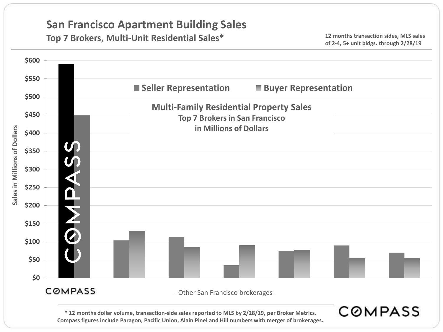#### **Top 7 Brokers, Multi-Unit Residential Sales\***

**12 months transaction sides, MLS sales of 2-4, 5+ unit bldgs. through 2/28/19**



**Compass figures include Paragon, Pacific Union, Alain Pinel and Hill numbers with merger of brokerages.**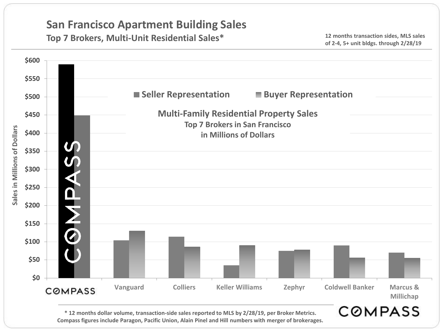#### **Top 7 Brokers, Multi-Unit Residential Sales\***

**12 months transaction sides, MLS sales of 2-4, 5+ unit bldgs. through 2/28/19**



**\* 12 months dollar volume, transaction-side sales reported to MLS by 2/28/19, per Broker Metrics. Compass figures include Paragon, Pacific Union, Alain Pinel and Hill numbers with merger of brokerages.**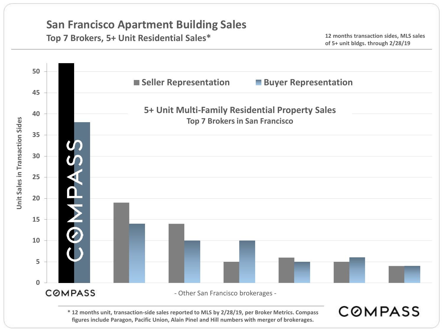## **Top 7 Brokers, 5+ Unit Residential Sales\***

**12 months transaction sides, MLS sales of 5+ unit bldgs. through 2/28/19**



**\* 12 months unit, transaction-side sales reported to MLS by 2/28/19, per Broker Metrics. Compass figures include Paragon, Pacific Union, Alain Pinel and Hill numbers with merger of brokerages.**